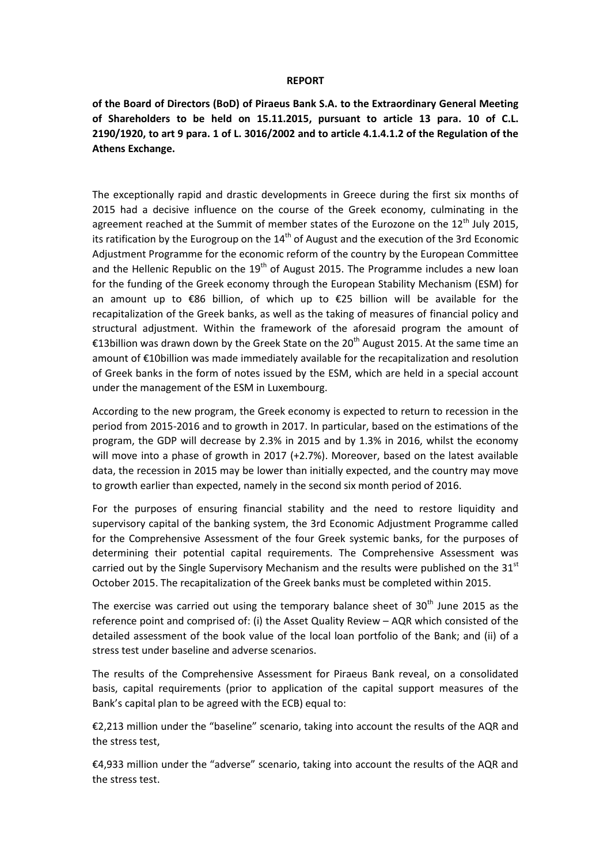## **REPORT**

**of the Board of Directors (BoD) of Piraeus Bank S.A. to the Extraordinary General Meeting of Shareholders to be held on 15.11.2015, pursuant to article 13 para. 10 of C.L. 2190/1920, to art 9 para. 1 of L. 3016/2002 and to article 4.1.4.1.2 of the Regulation of the Athens Exchange.**

The exceptionally rapid and drastic developments in Greece during the first six months of 2015 had a decisive influence on the course of the Greek economy, culminating in the agreement reached at the Summit of member states of the Eurozone on the  $12<sup>th</sup>$  July 2015, its ratification by the Eurogroup on the  $14<sup>th</sup>$  of August and the execution of the 3rd Economic Adjustment Programme for the economic reform of the country by the European Committee and the Hellenic Republic on the  $19<sup>th</sup>$  of August 2015. The Programme includes a new loan for the funding of the Greek economy through the European Stability Mechanism (ESM) for an amount up to €86 billion, of which up to €25 billion will be available for the recapitalization of the Greek banks, as well as the taking of measures of financial policy and structural adjustment. Within the framework of the aforesaid program the amount of €13billion was drawn down by the Greek State on the 20<sup>th</sup> August 2015. At the same time an amount of €10billion was made immediately available for the recapitalization and resolution of Greek banks in the form of notes issued by the ESM, which are held in a special account under the management of the ESM in Luxembourg.

According to the new program, the Greek economy is expected to return to recession in the period from 2015-2016 and to growth in 2017. In particular, based on the estimations of the program, the GDP will decrease by 2.3% in 2015 and by 1.3% in 2016, whilst the economy will move into a phase of growth in 2017 (+2.7%). Moreover, based on the latest available data, the recession in 2015 may be lower than initially expected, and the country may move to growth earlier than expected, namely in the second six month period of 2016.

For the purposes of ensuring financial stability and the need to restore liquidity and supervisory capital of the banking system, the 3rd Economic Adjustment Programme called for the Comprehensive Assessment of the four Greek systemic banks, for the purposes of determining their potential capital requirements. The Comprehensive Assessment was carried out by the Single Supervisory Mechanism and the results were published on the  $31<sup>st</sup>$ October 2015. The recapitalization of the Greek banks must be completed within 2015.

The exercise was carried out using the temporary balance sheet of  $30<sup>th</sup>$  June 2015 as the reference point and comprised of: (i) the Asset Quality Review – AQR which consisted of the detailed assessment of the book value of the local loan portfolio of the Bank; and (ii) of a stress test under baseline and adverse scenarios.

The results of the Comprehensive Assessment for Piraeus Bank reveal, on a consolidated basis, capital requirements (prior to application of the capital support measures of the Bank's capital plan to be agreed with the ECB) equal to:

€2,213 million under the "baseline" scenario, taking into account the results of the AQR and the stress test,

€4,933 million under the "adverse" scenario, taking into account the results of the AQR and the stress test.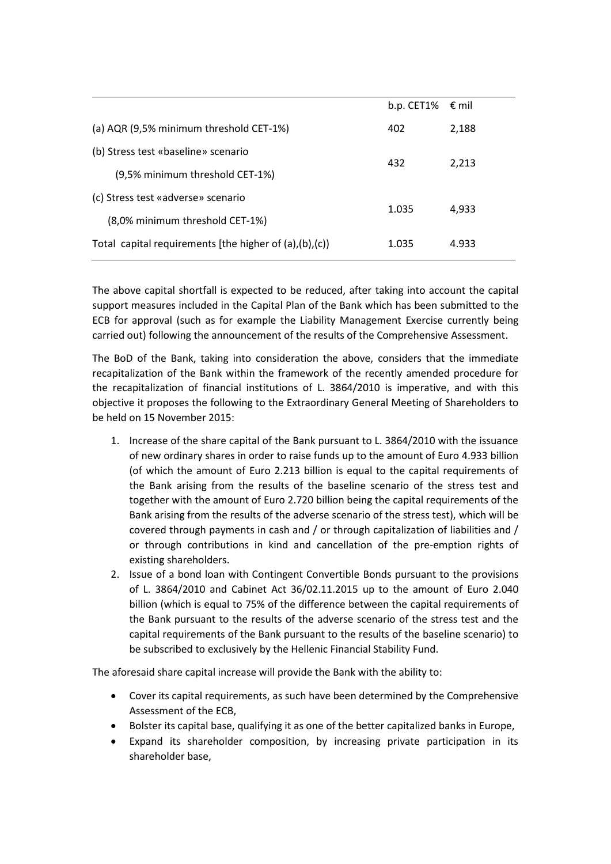|                                                                   | b.p. CET1% $\epsilon$ mil |       |
|-------------------------------------------------------------------|---------------------------|-------|
| (a) AQR (9,5% minimum threshold CET-1%)                           | 402                       | 2,188 |
| (b) Stress test «baseline» scenario                               | 432                       | 2,213 |
| (9,5% minimum threshold CET-1%)                                   |                           |       |
| (c) Stress test «adverse» scenario                                | 1.035                     | 4,933 |
| (8,0% minimum threshold CET-1%)                                   |                           |       |
| Total capital requirements [the higher of $(a)$ , $(b)$ , $(c)$ ] | 1.035                     | 4.933 |
|                                                                   |                           |       |

The above capital shortfall is expected to be reduced, after taking into account the capital support measures included in the Capital Plan of the Bank which has been submitted to the ECB for approval (such as for example the Liability Management Exercise currently being carried out) following the announcement of the results of the Comprehensive Assessment.

The BoD of the Bank, taking into consideration the above, considers that the immediate recapitalization of the Bank within the framework of the recently amended procedure for the recapitalization of financial institutions of L. 3864/2010 is imperative, and with this objective it proposes the following to the Extraordinary General Meeting of Shareholders to be held on 15 November 2015:

- 1. Increase of the share capital of the Bank pursuant to L. 3864/2010 with the issuance of new ordinary shares in order to raise funds up to the amount of Euro 4.933 billion (of which the amount of Euro 2.213 billion is equal to the capital requirements of the Bank arising from the results of the baseline scenario of the stress test and together with the amount of Euro 2.720 billion being the capital requirements of the Bank arising from the results of the adverse scenario of the stress test), which will be covered through payments in cash and / or through capitalization of liabilities and / or through contributions in kind and cancellation of the pre-emption rights of existing shareholders.
- 2. Issue of a bond loan with Contingent Convertible Bonds pursuant to the provisions of L. 3864/2010 and Cabinet Act 36/02.11.2015 up to the amount of Euro 2.040 billion (which is equal to 75% of the difference between the capital requirements of the Bank pursuant to the results of the adverse scenario of the stress test and the capital requirements of the Bank pursuant to the results of the baseline scenario) to be subscribed to exclusively by the Hellenic Financial Stability Fund.

The aforesaid share capital increase will provide the Bank with the ability to:

- Cover its capital requirements, as such have been determined by the Comprehensive Assessment of the ECB,
- Bolster its capital base, qualifying it as one of the better capitalized banks in Europe,
- Expand its shareholder composition, by increasing private participation in its shareholder base,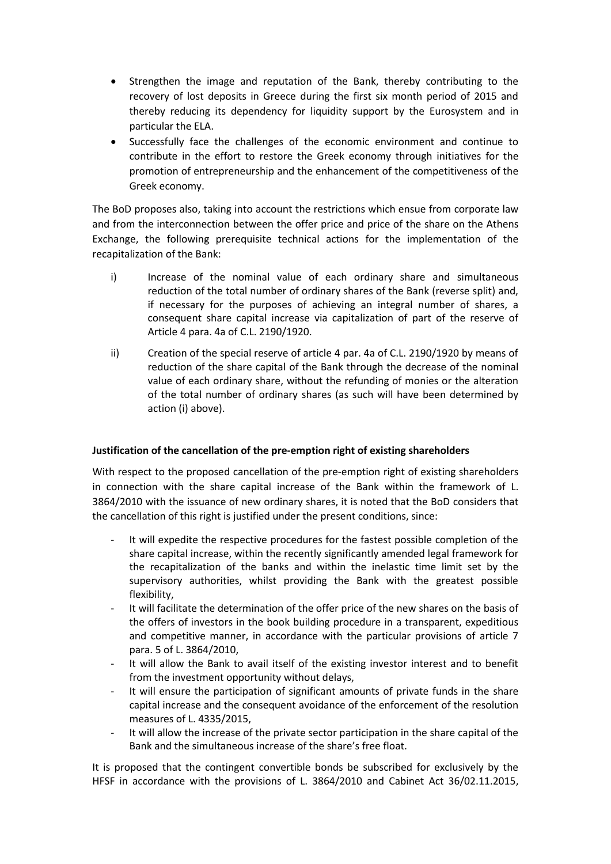- Strengthen the image and reputation of the Bank, thereby contributing to the recovery of lost deposits in Greece during the first six month period of 2015 and thereby reducing its dependency for liquidity support by the Eurosystem and in particular the ELA.
- Successfully face the challenges of the economic environment and continue to contribute in the effort to restore the Greek economy through initiatives for the promotion of entrepreneurship and the enhancement of the competitiveness of the Greek economy.

The BoD proposes also, taking into account the restrictions which ensue from corporate law and from the interconnection between the offer price and price of the share on the Athens Exchange, the following prerequisite technical actions for the implementation of the recapitalization of the Bank:

- i) Increase of the nominal value of each ordinary share and simultaneous reduction of the total number of ordinary shares of the Bank (reverse split) and, if necessary for the purposes of achieving an integral number of shares, a consequent share capital increase via capitalization of part of the reserve of Article 4 para. 4a of C.L. 2190/1920.
- ii) Creation of the special reserve of article 4 par. 4a of C.L. 2190/1920 by means of reduction of the share capital of the Bank through the decrease of the nominal value of each ordinary share, without the refunding of monies or the alteration of the total number of ordinary shares (as such will have been determined by action (i) above).

## **Justification of the cancellation of the pre-emption right of existing shareholders**

With respect to the proposed cancellation of the pre-emption right of existing shareholders in connection with the share capital increase of the Bank within the framework of L. 3864/2010 with the issuance of new ordinary shares, it is noted that the BoD considers that the cancellation of this right is justified under the present conditions, since:

- It will expedite the respective procedures for the fastest possible completion of the share capital increase, within the recently significantly amended legal framework for the recapitalization of the banks and within the inelastic time limit set by the supervisory authorities, whilst providing the Bank with the greatest possible flexibility,
- It will facilitate the determination of the offer price of the new shares on the basis of the offers of investors in the book building procedure in a transparent, expeditious and competitive manner, in accordance with the particular provisions of article 7 para. 5 of L. 3864/2010,
- It will allow the Bank to avail itself of the existing investor interest and to benefit from the investment opportunity without delays,
- It will ensure the participation of significant amounts of private funds in the share capital increase and the consequent avoidance of the enforcement of the resolution measures of L. 4335/2015,
- It will allow the increase of the private sector participation in the share capital of the Bank and the simultaneous increase of the share's free float.

It is proposed that the contingent convertible bonds be subscribed for exclusively by the HFSF in accordance with the provisions of L. 3864/2010 and Cabinet Act 36/02.11.2015,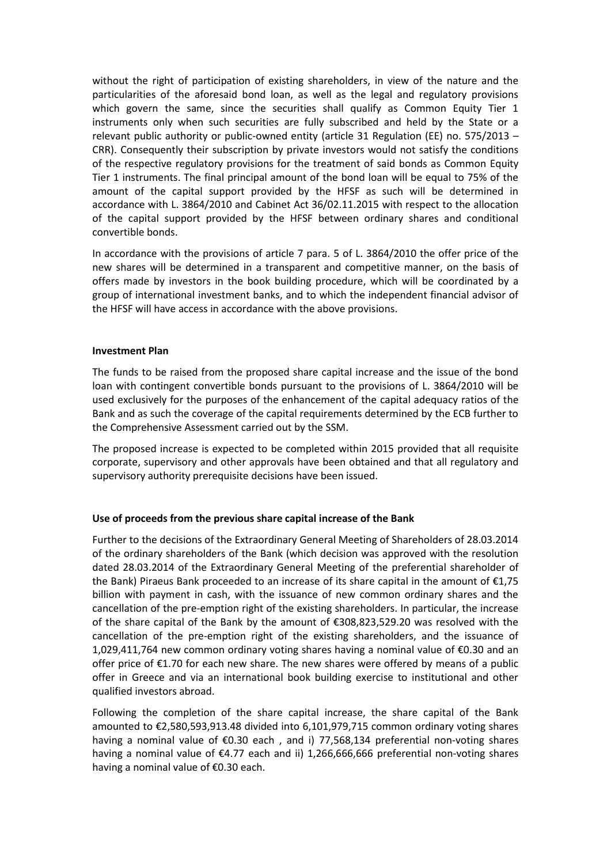without the right of participation of existing shareholders, in view of the nature and the particularities of the aforesaid bond loan, as well as the legal and regulatory provisions which govern the same, since the securities shall qualify as Common Equity Tier 1 instruments only when such securities are fully subscribed and held by the State or a relevant public authority or public-owned entity (article 31 Regulation (EE) no. 575/2013 – CRR). Consequently their subscription by private investors would not satisfy the conditions of the respective regulatory provisions for the treatment of said bonds as Common Equity Tier 1 instruments. The final principal amount of the bond loan will be equal to 75% of the amount of the capital support provided by the HFSF as such will be determined in accordance with L. 3864/2010 and Cabinet Act 36/02.11.2015 with respect to the allocation of the capital support provided by the HFSF between ordinary shares and conditional convertible bonds.

In accordance with the provisions of article 7 para. 5 of L. 3864/2010 the offer price of the new shares will be determined in a transparent and competitive manner, on the basis of offers made by investors in the book building procedure, which will be coordinated by a group of international investment banks, and to which the independent financial advisor of the HFSF will have access in accordance with the above provisions.

## **Investment Plan**

The funds to be raised from the proposed share capital increase and the issue of the bond loan with contingent convertible bonds pursuant to the provisions of L. 3864/2010 will be used exclusively for the purposes of the enhancement of the capital adequacy ratios of the Bank and as such the coverage of the capital requirements determined by the ECB further to the Comprehensive Assessment carried out by the SSM.

The proposed increase is expected to be completed within 2015 provided that all requisite corporate, supervisory and other approvals have been obtained and that all regulatory and supervisory authority prerequisite decisions have been issued.

## **Use of proceeds from the previous share capital increase of the Bank**

Further to the decisions of the Extraordinary General Meeting of Shareholders of 28.03.2014 of the ordinary shareholders of the Bank (which decision was approved with the resolution dated 28.03.2014 of the Extraordinary General Meeting of the preferential shareholder of the Bank) Piraeus Bank proceeded to an increase of its share capital in the amount of  $\epsilon$ 1,75 billion with payment in cash, with the issuance of new common ordinary shares and the cancellation of the pre-emption right of the existing shareholders. In particular, the increase of the share capital of the Bank by the amount of €308,823,529.20 was resolved with the cancellation of the pre-emption right of the existing shareholders, and the issuance of 1,029,411,764 new common ordinary voting shares having a nominal value of €0.30 and an offer price of €1.70 for each new share. The new shares were offered by means of a public offer in Greece and via an international book building exercise to institutional and other qualified investors abroad.

Following the completion of the share capital increase, the share capital of the Bank amounted to €2,580,593,913.48 divided into 6,101,979,715 common ordinary voting shares having a nominal value of €0.30 each , and i) 77,568,134 preferential non-voting shares having a nominal value of €4.77 each and ii) 1,266,666,666 preferential non-voting shares having a nominal value of €0.30 each.